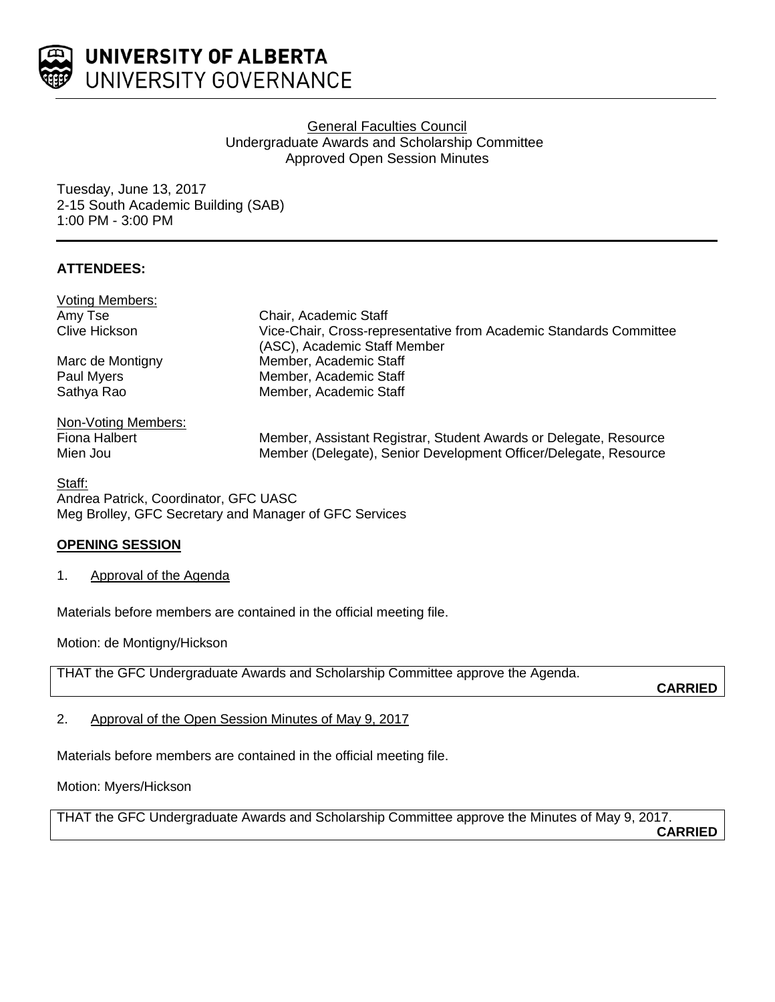

UNIVERSITY OF ALBERTA UNIVERSITY GOVERNANCE

# General Faculties Council Undergraduate Awards and Scholarship Committee Approved Open Session Minutes

Tuesday, June 13, 2017 2-15 South Academic Building (SAB) 1:00 PM - 3:00 PM

# **ATTENDEES:**

| Voting Members:     |                                                                                                    |
|---------------------|----------------------------------------------------------------------------------------------------|
| Amy Tse             | Chair, Academic Staff                                                                              |
| Clive Hickson       | Vice-Chair, Cross-representative from Academic Standards Committee<br>(ASC), Academic Staff Member |
| Marc de Montigny    | Member, Academic Staff                                                                             |
| Paul Myers          | Member, Academic Staff                                                                             |
| Sathya Rao          | Member, Academic Staff                                                                             |
| Non-Voting Members: |                                                                                                    |
| Fiona Halbert       | Member, Assistant Registrar, Student Awards or Delegate, Resource                                  |
| Mien Jou            | Member (Delegate), Senior Development Officer/Delegate, Resource                                   |
| <b>Ciatt.</b>       |                                                                                                    |

<u>Staff:</u> Andrea Patrick, Coordinator, GFC UASC Meg Brolley, GFC Secretary and Manager of GFC Services

## **OPENING SESSION**

1. Approval of the Agenda

Materials before members are contained in the official meeting file.

Motion: de Montigny/Hickson

THAT the GFC Undergraduate Awards and Scholarship Committee approve the Agenda.

**CARRIED**

2. Approval of the Open Session Minutes of May 9, 2017

Materials before members are contained in the official meeting file.

Motion: Myers/Hickson

THAT the GFC Undergraduate Awards and Scholarship Committee approve the Minutes of May 9, 2017.

**CARRIED**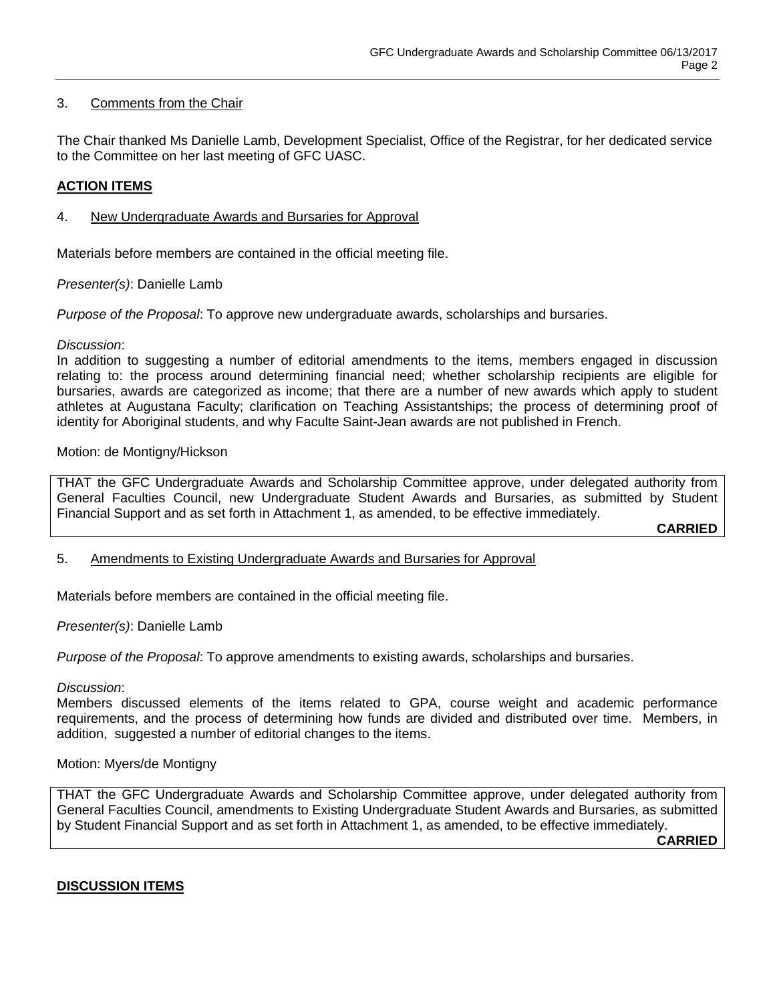## 3. Comments from the Chair

The Chair thanked Ms Danielle Lamb, Development Specialist, Office of the Registrar, for her dedicated service to the Committee on her last meeting of GFC UASC.

## **ACTION ITEMS**

## 4. New Undergraduate Awards and Bursaries for Approval

Materials before members are contained in the official meeting file.

*Presenter(s)*: Danielle Lamb

*Purpose of the Proposal*: To approve new undergraduate awards, scholarships and bursaries.

#### *Discussion*:

In addition to suggesting a number of editorial amendments to the items, members engaged in discussion relating to: the process around determining financial need; whether scholarship recipients are eligible for bursaries, awards are categorized as income; that there are a number of new awards which apply to student athletes at Augustana Faculty; clarification on Teaching Assistantships; the process of determining proof of identity for Aboriginal students, and why Faculte Saint-Jean awards are not published in French.

#### Motion: de Montigny/Hickson

THAT the GFC Undergraduate Awards and Scholarship Committee approve, under delegated authority from General Faculties Council, new Undergraduate Student Awards and Bursaries, as submitted by Student Financial Support and as set forth in Attachment 1, as amended, to be effective immediately.

**CARRIED**

## 5. Amendments to Existing Undergraduate Awards and Bursaries for Approval

Materials before members are contained in the official meeting file.

*Presenter(s)*: Danielle Lamb

*Purpose of the Proposal*: To approve amendments to existing awards, scholarships and bursaries.

*Discussion*:

Members discussed elements of the items related to GPA, course weight and academic performance requirements, and the process of determining how funds are divided and distributed over time. Members, in addition, suggested a number of editorial changes to the items.

## Motion: Myers/de Montigny

THAT the GFC Undergraduate Awards and Scholarship Committee approve, under delegated authority from General Faculties Council, amendments to Existing Undergraduate Student Awards and Bursaries, as submitted by Student Financial Support and as set forth in Attachment 1, as amended, to be effective immediately.

**CARRIED**

## **DISCUSSION ITEMS**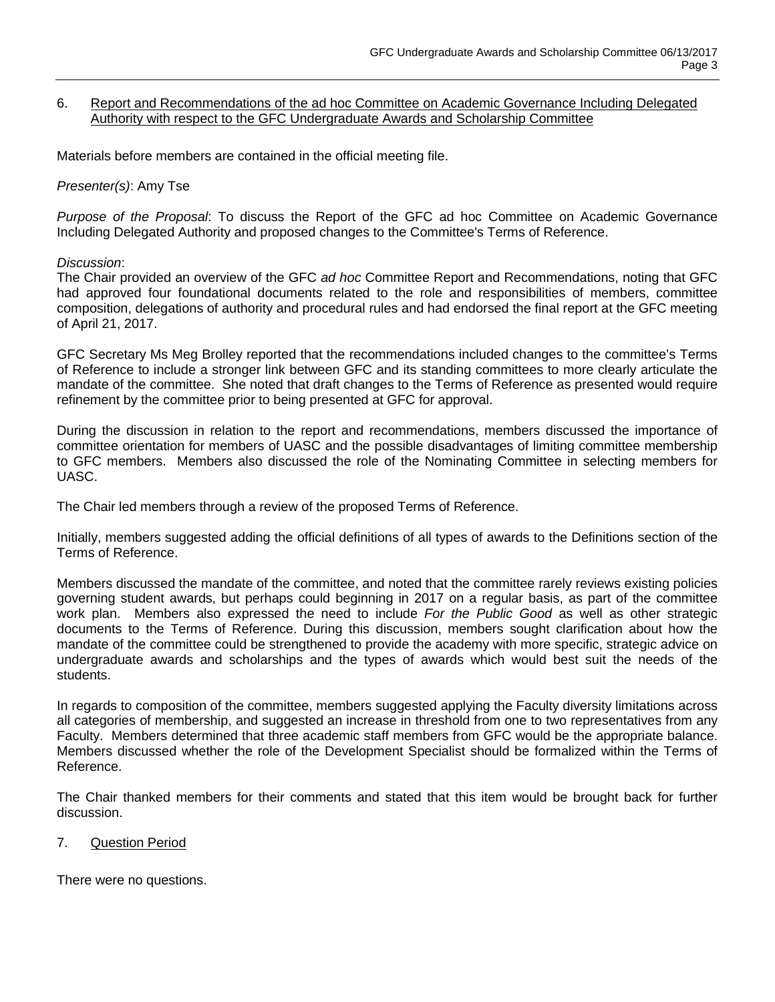#### 6. Report and Recommendations of the ad hoc Committee on Academic Governance Including Delegated Authority with respect to the GFC Undergraduate Awards and Scholarship Committee

Materials before members are contained in the official meeting file.

#### *Presenter(s)*: Amy Tse

*Purpose of the Proposal*: To discuss the Report of the GFC ad hoc Committee on Academic Governance Including Delegated Authority and proposed changes to the Committee's Terms of Reference.

#### *Discussion*:

The Chair provided an overview of the GFC *ad hoc* Committee Report and Recommendations, noting that GFC had approved four foundational documents related to the role and responsibilities of members, committee composition, delegations of authority and procedural rules and had endorsed the final report at the GFC meeting of April 21, 2017.

GFC Secretary Ms Meg Brolley reported that the recommendations included changes to the committee's Terms of Reference to include a stronger link between GFC and its standing committees to more clearly articulate the mandate of the committee. She noted that draft changes to the Terms of Reference as presented would require refinement by the committee prior to being presented at GFC for approval.

During the discussion in relation to the report and recommendations, members discussed the importance of committee orientation for members of UASC and the possible disadvantages of limiting committee membership to GFC members. Members also discussed the role of the Nominating Committee in selecting members for UASC.

The Chair led members through a review of the proposed Terms of Reference.

Initially, members suggested adding the official definitions of all types of awards to the Definitions section of the Terms of Reference.

Members discussed the mandate of the committee, and noted that the committee rarely reviews existing policies governing student awards, but perhaps could beginning in 2017 on a regular basis, as part of the committee work plan. Members also expressed the need to include *For the Public Good* as well as other strategic documents to the Terms of Reference. During this discussion, members sought clarification about how the mandate of the committee could be strengthened to provide the academy with more specific, strategic advice on undergraduate awards and scholarships and the types of awards which would best suit the needs of the students.

In regards to composition of the committee, members suggested applying the Faculty diversity limitations across all categories of membership, and suggested an increase in threshold from one to two representatives from any Faculty. Members determined that three academic staff members from GFC would be the appropriate balance. Members discussed whether the role of the Development Specialist should be formalized within the Terms of Reference.

The Chair thanked members for their comments and stated that this item would be brought back for further discussion.

## 7. Question Period

There were no questions.